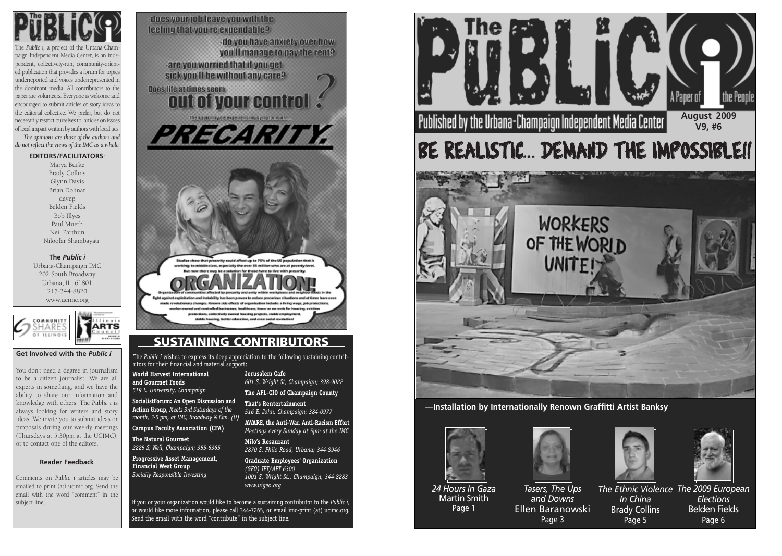

The *Public i,* a project of the Urbana-Champaign Independent Media Center, is an independent, collectively-run, community-oriented publication that provides a forum for topics underreported and voices underrepresented in the dominant media. All contributors to the paper are volunteers. Everyone is welcome and encouraged to submit articles or story ideas to the editorial collective. We prefer, but do not necessarily restrict ourselves to, articles on issues of local impact written by authors with local ties. *The opinions are those of the authors and do not reflect the views of the IMC as a whole.*

### **EDITORS/FACILITATORS**:

Marya Burke Brady Collins Glynn Davis Brian Dolinar davep Belden Fields Bob Illyes Paul Mueth Neil Parthun Niloofar Shambayati

**The** *Public i* Urbana-Champaign IMC 202 South Broadway Urbana, IL, 61801 217-344-8820 www.ucimc.org



### **Reader Feedback**

Comments on *Public i* articles may be emailed to print (at) ucimc.org. Send the email with the word "comment" in the subject line.



### **Get Involved with the** *Public i*

You don't need a degree in journalism to be a citizen journalist. We are all experts in something, and we have the ability to share our information and knowledge with others. The *Public i* is always looking for writers and story ideas. We invite you to submit ideas or proposals during our weekly meetings (Thursdays at 5:30pm at the UCIMC), or to contact one of the editors.

> <sup>I</sup>f you or your organization would like to become a sustaining contributor to the *Public i,* or would like more information, please call 344-7265, or email imc-print (at) ucimc.org. Send the email with the word "contribute" in the subject line.

### **SUSTAINING CONTRIBUTORS**

The *Public i* wishes to express its deep appreciation to the following sustaining contributors for their financial and material support:

**World Harvest International and Gourmet Foods** *519 E. University, Champaign*

**SocialistForum: An Open Discussion and Action Group,** *Meets 3rd Saturdays of the month, 3-5 pm, at IMC, Broadway & Elm. (U)* 

**Campus Faculty Association (CFA)**

**The Natural Gourmet** *2225 S, Neil, Champaign; 355-6365*

**Progressive Asset Management, Financial West Group** *Socially Responsible Investing*

**Jerusalem Cafe** *601 S. Wright St, Champaign; 398-9022*

**The AFL-CIO of Champaign County**

**That's Rentertainment** *516 E. John, Champaign; 384-0977* 

**AWARE, the Anti-War, Anti-Racism Effort** *Meetings every Sunday at 5pm at the IMC*

**Milo's Resaurant** *2870 S. Philo Road, Urbana; 344-8946*

**Graduate Employees' Organization** *(GEO) IFT/AFT 6300 1001 S. Wright St., Champaign, 344-8283 www.uigeo.org*



**—Installation by Internationally Renown Graffitti Artist Banksy**





*24 Hours In Gaza* Martin Smith Page 1

*Tasers, The Ups and Downs* Ellen Baranowski Page 3



*In China*  Brady Collins Page 5



*The Ethnic Violence The 2009 European Elections* Belden Fields Page 6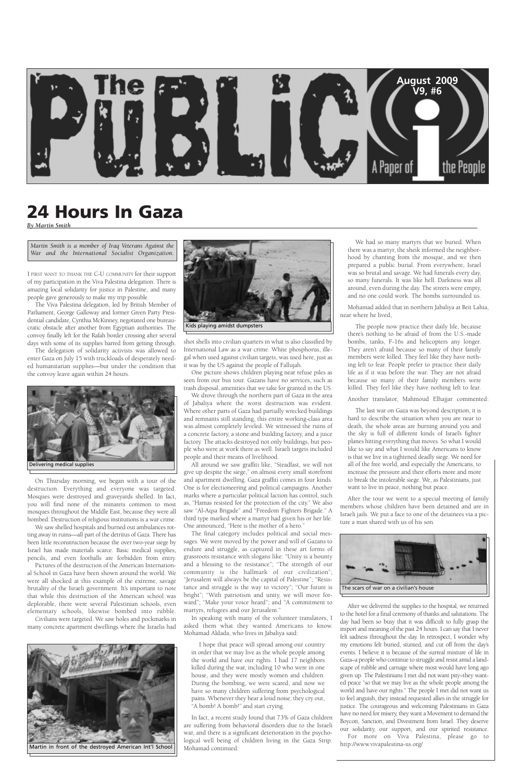

I FIRST WANT TO THANK THE C-U COMMUNITY for their support of my participation in the Viva Palestina delegation. There is amazing local solidarity for justice in Palestine, and many people gave generously to make my trip possible.

The Viva Palestina delegation, led by British Member of Parliament, George Galloway and former Green Party Presidential candidate, Cynthia McKinney, negotiated one bureaucratic obstacle after another from Egyptian authorities. The convoy finally left for the Rafah border crossing after several days with some of its supplies barred from getting through.

The delegation of solidarity activists was allowed to enter Gaza on July 15 with truckloads of desperately needed humanitarian supplies—but under the condition that the convoy leave again within 24 hours.

On Thursday morning, we began with a tour of the destruction. Everything and everyone was targeted. Mosques were destroyed and graveyards shelled. In fact, you will find none of the minarets common to most mosques throughout the Middle East, because they were all bombed. Destruction of religious institutions is a war crime.

We saw shelled hospitals and burned out ambulances rotting away in ruins—all part of the detritus of Gaza. There has been little reconstruction because the over two-year siege by Israel has made materials scarce. Basic medical supplies, pencils, and even footballs are forbidden from entry.

Pictures of the destruction of the American Internation-School in Gaza have been shown around the world. We were all shocked at this example of the extreme, savage brutality of the Israeli government. It's important to note that while this destruction of the American school was deplorable, there were several Palestinian schools, even elementary schools, likewise bombed into rubble. Civilians were targeted. We saw holes and pockmarks in many concrete apartment dwellings where the Israelis had

shot shells into civilian quarters in what is also classified by International Law as a war crime. White phosphorus, illegal when used against civilian targets, was used here, just as it was by the US against the people of Fallujah.

I hope that peace will spread among our country in order that we may live as the whole people among the world and have our rights. I had 17 neighbors killed during the war, including 10 who were in one house, and they were mostly women and children. During the bombing, we were scared, and now we have so many children suffering from psychological pains. Whenever they hear a loud noise, they cry out, "A bomb! A bomb!" and start crying.

One picture shows children playing near refuse piles as seen from our bus tour. Gazans have no services, such as trash disposal, amenities that we take for granted in the US.

We drove through the northern part of Gaza in the area of Jabaliya where the worst destruction was evident. Where other parts of Gaza had partially wrecked buildings and remnants still standing, this entire working-class area was almost completely leveled. We witnessed the ruins of a concrete factory, a stone and building factory, and a juice factory. The attacks destroyed not only buildings, but people who were at work there as well. Israeli targets included people and their means of livelihood.

All around we saw graffiti like, "Steadfast, we will not give up despite the siege," on almost every small storefront and apartment dwelling. Gaza graffiti comes in four kinds. One is for electioneering and political campaigns. Another marks where a particular political faction has control, such as, "Hamas resisted for the protection of the city." We also saw "Al-Aqsa Brigade" and "Freedom Fighters Brigade." A third type marked where a martyr had given his or her life. One announced, "Here is the mother of a hero."

The final category includes political and social messages. We were moved by the power and will of Gazans to endure and struggle, as captured in these art forms of grassroots resistance with slogans like: "Unity is a bounty and a blessing to the resistance"; "The strength of our community is the hallmark of our civilization" "Jerusalem will always be the capital of Palestine"; "Resistance and struggle is the way to victory"; "Our future is bright"; "With patriotism and unity, we will move forward"; "Make your voice heard"; and "A commitment to martyrs, refugees and our Jerusalem." In speaking with many of the volunteer translators, I asked them what they wanted Americans to know. Mohamad Aldada, who lives in Jabaliya said:

In fact, a recent study found that 73% of Gaza children are suffering from behavioral disorders due to the Israeli war, and there is a significant deterioration in the psychological well being of children living in the Gaza Strip. Mohamad continued:

We had so many martyrs that we buried. When there was a martyr, the sheik informed the neighborhood by chanting from the mosque, and we then prepared a public burial. From everywhere, Israel was so brutal and savage. We had funerals every day, so many funerals. It was like hell. Darkness was all around, even during the day. The streets were empty, and no one could work. The bombs surrounded us.

Mohamad added that in northern Jabaliya at Beit Lahia, near where he lived,

The people now practice their daily life, because there's nothing to be afraid of from the U.S.-made bombs, tanks, F-16s and helicopters any longer. They aren't afraid because so many of their family members were killed. They feel like they have nothing left to fear. People prefer to practice their daily life as if it was before the war. They are not afraid because so many of their family members were killed. They feel like they have nothing left to fear.

Another translator, Mahmoud Elhajjar commented:

The last war on Gaza was beyond description, it is hard to describe the situation when you are near to death, the whole areas are burning around you and the sky is full of different kinds of Israel's fighter planes hitting everything that moves. So what I would like to say and what I would like Americans to know is that we live in a tightened deadly siege. We need for all of the free world, and especially the Americans, to increase the pressure and their efforts more and more to break the intolerable siege. We, as Palestinians, just want to live in peace, nothing but peace.

After the tour we went to a special meeting of family members whose children have been detained and are in Israeli jails. We put a face to one of the detainees via a picture a man shared with us of his son.





After we delivered the supplies to the hospital, we returned to the hotel for a final ceremony of thanks and salutations. The day had been so busy that it was difficult to fully grasp the import and meaning of the past 24 hours. I can say that I never felt sadness throughout the day. In retrospect, I wonder why my emotions felt buried, stunted, and cut off from the day's events. I believe it is because of the surreal mixture of life in Gaza–a people who continue to struggle and resist amid a landscape of rubble and carnage where most would have long ago given up. The Palestinians I met did not want pity–they wanted peace "so that we may live as the whole people among the world and have our rights." The people I met did not want us to feel anguish, they instead requested allies in the struggle for justice. The courageous and welcoming Palestinians in Gaza have no need for misery, they want a Movement to demand the Boycott, Sanction, and Divestment from Israel. They deserve our solidarity, our support, and our spirited resistance. For more on Viva Palestina, please go to http://www.vivapalestina-us.org/

### **24 Hours In Gaza**

*By Martin Smith*

The scars of war on a civilian's house





Martin in front of the destroyed American Int'l School

*Martin Smith is a member of Iraq Veterans Against the War and the International Socialist Organization.*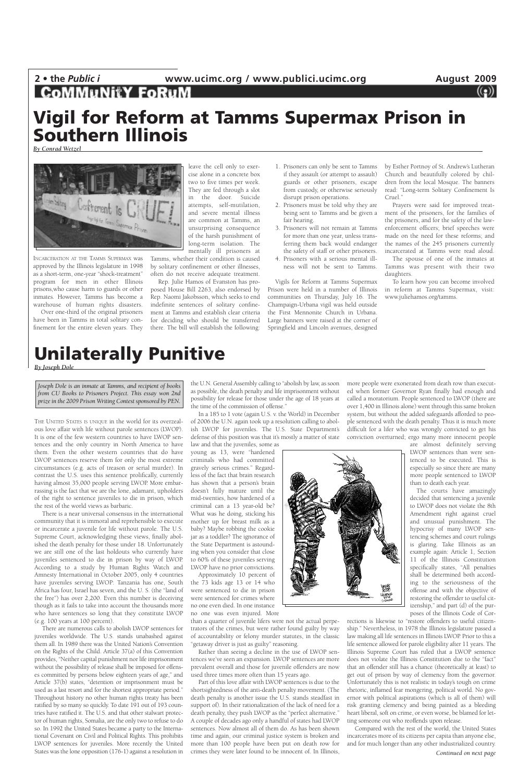# 2 • the *Public i* **www.ucimc.org** / www.publici.ucimc.org **August 2009**<br>**COMMUNITY FORUM** ((2)

THE UNITED STATES IS UNIQUE in the world for its overzealous love affair with life without parole sentences (LWOP). It is one of the few western countries to have LWOP sentences and the only country in North America to have them. Even the other western countries that do have LWOP sentences reserve them for only the most extreme circumstances (e.g. acts of treason or serial murder). In contrast the U.S. uses this sentence prolifically, currently having almost 35,000 people serving LWOP. More embarrassing is the fact that we are the lone, adamant, upholders of the right to sentence juveniles to die in prison, which the rest of the world views as barbaric.

There is a near universal consensus in the international community that it is immoral and reprehensible to execute or incarcerate a juvenile for life without parole. The U.S. Supreme Court, acknowledging these views, finally abolished the death penalty for those under 18. Unfortunately we are still one of the last holdouts who currently have juveniles sentenced to die in prison by way of LWOP. According to a study by Human Rights Watch and Amnesty International in October 2005, only 4 countries have juveniles serving LWOP: Tanzania has one, South Africa has four, Israel has seven, and the U. S. (the "land of the free") has over 2,200. Even this number is deceiving though as it fails to take into account the thousands more who have sentences so long that they constitute LWOP (e.g. 100 years at 100 percent). There are numerous calls to abolish LWOP sentences for juveniles worldwide. The U.S. stands unabashed against them all. In 1989 there was the United Nation's Convention on the Rights of the Child. Article 37(a) of this Convention provides, "Neither capital punishment nor life imprisonment without the possibility of release shall be imposed for offenses committed by persons below eighteen years of age," and Article 37(b) states, "detention or imprisonment must be used as a last resort and for the shortest appropriate period." Throughout history no other human rights treaty has been ratified by so many so quickly. To date 191 out of 193 countries have ratified it. The U.S. and that other stalwart protector of human rights, Somalia, are the only two to refuse to do so. In 1992 the United States became a party to the International Covenant on Civil and Political Rights. This prohibits LWOP sentences for juveniles. More recently the United States was the lone opposition (176-1) against a resolution in

the U.N. General Assembly calling to "abolish by law, as soon as possible, the death penalty and life imprisonment without possibility for release for those under the age of 18 years at the time of the commission of offense."

In a 185 to 1 vote (again U.S. v. the World) in December of 2006 the U.N. again took up a resolution calling to abolish LWOP for juveniles. The U.S. State Department's defense of this position was that it's mostly a matter of state

law and that the juveniles, some as young as 13, were "hardened criminals who had committed gravely serious crimes." Regardless of the fact that brain research has shown that a person's brain doesn't fully mature until the mid-twenties, how hardened of a criminal can a 13 year-old be? What was he doing, sticking his mother up for breast milk as a baby? Maybe robbing the cookie jar as a toddler? The ignorance of the State Department is astounding when you consider that close to 60% of these juveniles serving LWOP have no prior convictions.



Approximately 10 percent of the 73 kids age 13 or 14 who were sentenced to die in prison were sentenced for crimes where no one even died. In one instance no one was even injured. More

than a quarter of juvenile lifers were not the actual perpetrators of the crimes, but were rather found guilty by way of accountability or felony murder statutes, in the classic "getaway driver is just as guilty" reasoning.

Rather than seeing a decline in the use of LWOP sentences we've seen an expansion. LWOP sentences are more prevalent overall and those for juvenile offenders are now used three times more often than 15 years ago.

Part of this love affair with LWOP sentences is due to the shortsightedness of the anti-death penalty movement. (The death penalty is another issue the U.S. stands steadfast in support of). In their rationalization of the lack of need for a death penalty, they push LWOP as the "perfect alternative." A couple of decades ago only a handful of states had LWOP sentences. Now almost all of them do. As has been shown time and again, our criminal justice system is broken and more than 100 people have been put on death row for crimes they were later found to be innocent of. In Illinois,

more people were exonerated from death row than executed when former Governor Ryan finally had enough and called a moratorium. People sentenced to LWOP (there are over 1,400 in Illinois alone) went through this same broken system, but without the added safeguards afforded to people sentenced with the death penalty. Thus it is much more difficult for a lifer who was wrongly convicted to get his conviction overturned; ergo many more innocent people

> are almost definitely serving LWOP sentences than were sentenced to be executed. This is especially so since there are many more people sentenced to LWOP than to death each year.

The courts have amazingly decided that sentencing a juvenile to LWOP does not violate the 8th Amendment right against cruel and unusual punishment. The hypocrisy of many LWOP sentencing schemes and court rulings is glaring. Take Illinois as an example again: Article 1, Section 11 of the Illinois Constitution specifically states, "All penalties shall be determined both according to the seriousness of the offense and with the objective of restoring the offender to useful citizenship," and part (d) of the purposes of the Illinois Code of Corrections is likewise to "restore offenders to useful citizenship." Nevertheless, in 1978 the Illinois legislature passed a law making all life sentences in Illinois LWOP. Prior to this a life sentence allowed for parole eligibility after 11 years. The Illinois Supreme Court has ruled that a LWOP sentence does not violate the Illinois Constitution due to the "fact" that an offender still has a chance (theoretically at least) to get out of prison by way of clemency from the governor. Unfortunately this is not realistic in today's tough on crime rhetoric, inflamed fear mongering, political world. No governor with political aspirations (which is all of them) will risk granting clemency and being painted as a bleeding heart liberal, soft on crime, or even worse, be blamed for letting someone out who reoffends upon release. Compared with the rest of the world, the United States incarcerates more of its citizens per capita than anyone else, and for much longer than any other industrialized country. *Continued on next page*

### **Unilaterally Punitive**

#### *By Joseph Dole*

INCARCERATION AT THE TAMMS SUPERMAX was approved by the Illinois legislature in 1998 as a short-term, one-year "shock-treatment" program for men in other Illinois prisons,who cause harm to guards or other inmates. However, Tamms has become a warehouse of human rights disasters.

Over one-third of the original prisoners have been in Tamms in total solitary confinement for the entire eleven years. They

leave the cell only to exercise alone in a concrete box two to five times per week. They are fed through a slot in the door. Suicide attempts, self-mutilation, and severe mental illness are common at Tamms, an unsurprising consequence of the harsh punishment of long-term isolation. The mentally ill prisoners at

Tamms, whether their condition is caused by solitary confinement or other illnesses, often do not receive adequate treatment.

Rep. Julie Hamos of Evanston has proposed House Bill 2263, also endorsed by Rep. Naomi Jakobsson, which seeks to end indefinite sentences of solitary confinement at Tamms and establish clear criteria for deciding who should be transferred there. The bill will establish the following:

- 1. Prisoners can only be sent to Tamms if they assault (or attempt to assault) guards or other prisoners, escape from custody, or otherwise seriously disrupt prison operations.
- 2. Prisoners must be told why they are being sent to Tamms and be given a fair hearing.
- 3. Prisoners will not remain at Tamms for more than one year, unless transferring them back would endanger the safety of staff or other prisoners.
- 4. Prisoners with a serious mental illness will not be sent to Tamms.

Vigils for Reform at Tamms Supermax Prison were held in a number of Illinois communities on Thursday, July 16. The Champaign-Urbana vigil was held outside the First Mennonite Church in Urbana. Large banners were raised at the corner of Springfield and Lincoln avenues, designed

by Esther Portnoy of St. Andrew's Lutheran Church and beautifully colored by children from the local Mosque. The banners read: "Long-term Solitary Confinement Is Cruel."

Prayers were said for improved treatment of the prisoners, for the families of the prisoners, and for the safety of the lawenforcement officers; brief speeches were made on the need for these reforms; and the names of the 245 prisoners currently incarcerated at Tamms were read aloud.

The spouse of one of the inmates at Tamms was present with their two daughters.

To learn how you can become involved in reform at Tamms Supermax, visit: www.juliehamos.org/tamms.

### **Vigil for Reform at Tamms Supermax Prison in Southern Illinois**

*By Conrad Wetzel*



*Joseph Dole is an inmate at Tamms, and recipient of books from CU Books to Prisoners Project. This essay won 2nd prize in the 2009 Prison Writing Contest sponsored by PEN.*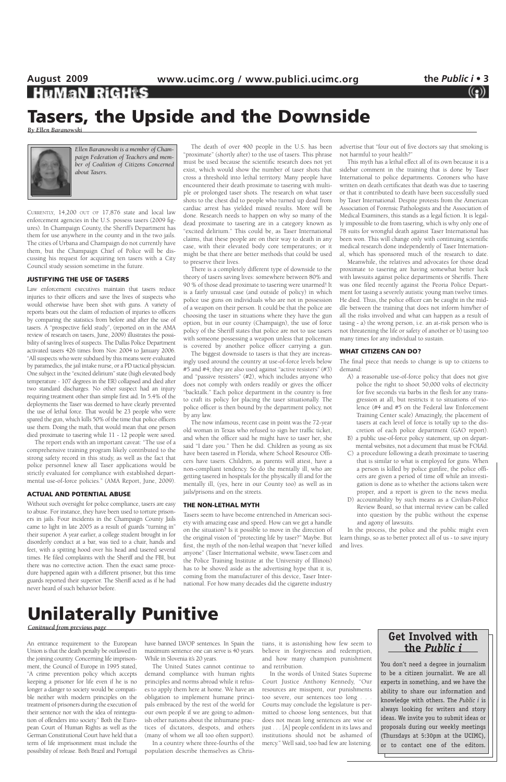CURRENTLY, 14,200 OUT OF 17,876 state and local law enforcement agencies in the U.S. possess tasers (2009 figures). In Champaign County, the Sheriff's Department has them for use anywhere in the county and in the two jails. The cities of Urbana and Champaign do not currently have them, but the Champaign Chief of Police will be discussing his request for acquiring ten tasers with a City Council study session sometime in the future.

#### **JUSTIFYING THE USE OF TASERS**

Law enforcement executives maintain that tasers reduce injuries to their officers and save the lives of suspects who would otherwise have been shot with guns. A variety of reports bears out the claim of reduction of injuries to officers by comparing the statistics from before and after the use of tasers. A "prospective field study", (reported on in the AMA review of research on tasers, June, 2009) illustrates the possibility of saving lives of suspects. The Dallas Police Department activated tasers 426 times from Nov. 2004 to January 2006. "All suspects who were subdued by this means were evaluated by paramedics, the jail intake nurse, or a PD tactical physician. One subject in the "excited delirium" state (high elevated body temperature - 107 degrees in the ER) collapsed and died after two standard discharges. No other suspect had an injury requiring treatment other than simple first aid. In 5.4% of the deployments the Taser was deemed to have clearly prevented the use of lethal force. That would be 23 people who were spared the gun, which kills 50% of the time that police officers use them. Doing the math, that would mean that one person died proximate to tasering while 11 - 12 people were saved.

The report ends with an important caveat: "The use of a comprehensive training program likely contributed to the strong safety record in this study, as well as the fact that police personnel knew all Taser applications would be strictly evaluated for compliance with established departmental use-of-force policies." (AMA Report, June, 2009).

#### **ACTUAL AND POTENTIAL ABUSE**

Without such oversight for police compliance, tasers are easy to abuse. For instance, they have been used to torture prisoners in jails. Four incidents in the Champaign County Jails came to light in late 2005 as a result of guards "turning in" their superior. A year earlier, a college student brought in for disorderly conduct at a bar, was tied to a chair, hands and feet, with a spitting hood over his head and tasered several times. He filed complaints with the Sheriff and the FBI, but there was no corrective action. Then the exact same procedure happened again with a different prisoner, but this time guards reported their superior. The Sheriff acted as if he had never heard of such behavior before.

The death of over 400 people in the U.S. has been "proximate" (shortly after) to the use of tasers. This phrase must be used because the scientific research does not yet exist, which would show the number of taser shots that cross a threshold into lethal territory. Many people have encountered their death proximate to tasering with multiple or prolonged taser shots. The research on what taser shots to the chest did to people who turned up dead from cardiac arrest has yielded mixed results. More will be done. Research needs to happen on why so many of the dead proximate to tasering are in a category known as "excited delirium." This could be, as Taser International claims, that these people are on their way to death in any case, with their elevated body core temperatures; or it might be that there are better methods that could be used to preserve their lives.

There is a completely different type of downside to the theory of tasers saving lives: somewhere between 80% and 90 % of those dead proximate to tasering were unarmed! It is a fairly unusual case (and outside of policy) in which police use guns on individuals who are not in possession of a weapon on their person. It could be that the police are choosing the taser in situations where they have the gun option, but in our county (Champaign), the use of force policy of the Sheriff states that police are not to use tasers with someone possessing a weapon unless that policeman is covered by another police officer carrying a gun.

# **August 2009 www.ucimc.org / www.publici.ucimc.org the** *Public i* **• 3 Tasers, the Upside and the Downside**

The biggest downside to tasers is that they are increasingly used around the country at use-of-force levels below #5 and #4; they are also used against "active resisters" (#3) and "passive resisters" (#2), which includes anyone who does not comply with orders readily or gives the officer "backtalk." Each police department in the country is free to craft its policy for placing the taser situationally. The police officer is then bound by the department policy, not by any law.

have banned LWOP sentences. In Spain the maximum sentence one can serve is 40 years. While in Slovenia it's 20 years.

The now infamous, recent case in point was the 72-year old woman in Texas who refused to sign her traffic ticket, and when the officer said he might have to taser her, she said "I dare you." Then he did. Children as young as six have been tasered in Florida, where School Resource Officers have tasers. Children, as parents will attest, have a non-compliant tendency. So do the mentally ill, who are getting tasered in hospitals for the physically ill and for the mentally ill, (yes, here in our County too) as well as in jails/prisons and on the streets.

#### **THE NON-LETHAL MYTH**

Tasers seem to have become entrenched in American society with amazing ease and speed. How can we get a handle on the situation? Is it possible to move in the direction of the original vision of "protecting life by taser?" Maybe. But first, the myth of the non-lethal weapon that "never killed anyone" (Taser International website, www.Taser.com and the Police Training Institute at the University of Illinois) has to be shoved aside as the advertising hype that it is,

coming from the manufacturer of this device, Taser International. For how many decades did the cigarette industry advertise that "four out of five doctors say that smoking is not harmful to your health?"

This myth has a lethal effect all of its own because it is a sidebar comment in the training that is done by Taser International to police departments. Coroners who have written on death certificates that death was due to tasering or that it contributed to death have been successfully sued by Taser International. Despite protests from the American Association of Forensic Pathologists and the Association of Medical Examiners, this stands as a legal fiction. It is legally impossible to die from tasering, which is why only one of 78 suits for wrongful death against Taser International has been won. This will change only with continuing scientific medical research done independently of Taser International, which has sponsored much of the research to date.

Meanwhile, the relatives and advocates for those dead proximate to tasering are having somewhat better luck with lawsuits against police departments or Sheriffs. There was one filed recently against the Peoria Police Department for tasing a severely autistic young man twelve times. He died. Thus, the police officer can be caught in the middle between the training that does not inform him/her of all the risks involved and what can happen as a result of tasing - a) the wrong person, i.e. an at-risk person who is not threatening the life or safety of another or b) tasing too many times for any individual to sustain.

### **WHAT CITIZENS CAN DO?**

The final piece that needs to change is up to citizens to demand:

- A) a reasonable use-of-force policy that does not give police the right to shoot 50,000 volts of electricity for five seconds via barbs in the flesh for any transgression at all, but restricts it to situations of violence (#4 and #5 on the Federal law Enforcement Training Center scale) Amazingly, the placement of tasers at each level of force is totally up to the discretion of each police department (GAO report).
- B) a public use-of-force policy statement, up on departmental websites, not a document that must be FOIA'd.
- C) a procedure following a death proximate to tasering that is similar to what is employed for guns. When a person is killed by police gunfire, the police officers are given a period of time off while an investigation is done as to whether the actions taken were proper, and a report is given to the news media.
- D) accountability by such means as a Civilian-Police Review Board, so that internal review can be called into question by the public without the expense and agony of lawsuits.

In the process, the police and the public might even learn things, so as to better protect all of us - to save injury and lives.

*By Ellen Baranowski*



### **Unilaterally Punitive**

*Conitnued from previous page*

An entrance requirement to the European Union is that the death penalty be outlawed in the joining country. Concerning life imprisonment, the Council of Europe in 1995 stated, "A crime prevention policy which accepts keeping a prisoner for life even if he is no longer a danger to society would be compatible neither with modern principles on the treatment of prisoners during the execution of their sentence nor with the idea of reintegration of offenders into society." Both the European Court of Human Rights as well as the German Constitutional Court have held that a term of life imprisonment must include the possibility of release. Both Brazil and Portugal

The United States cannot continue to demand compliance with human rights principles and norms abroad while it refuses to apply them here at home. We have an obligation to implement humane principals embraced by the rest of the world for our own people if we are going to admonish other nations about the inhumane practices of dictators, despots, and others (many of whom we all too often support). In a country where three-fourths of the population describe themselves as Christians, it is astonishing how few seem to believe in forgiveness and redemption, and how many champion punishment and retribution.

In the words of United States Supreme Court Justice Anthony Kennedy, "Our resources are misspent, our punishments too severe, our sentences too long . . . Courts may conclude the legislature is permitted to choose long sentences, but that does not mean long sentences are wise or just . . . [A] people confident in its laws and institutions should not be ashamed of mercy." Well said, too bad few are listening.

*Ellen Baranowski is a member of Champaign Federation of Teachers and member of Coalition of Citizens Concerned about Tasers.* 

### **Get Involved with the** *Public i*

You don't need a degree in journalism to be a citizen journalist. We are all experts in something, and we have the ability to share our information and knowledge with others. The *Public i* is always looking for writers and story ideas. We invite you to submit ideas or proposals during our weekly meetings (Thursdays at 5:30pm at the UCIMC), or to contact one of the editors.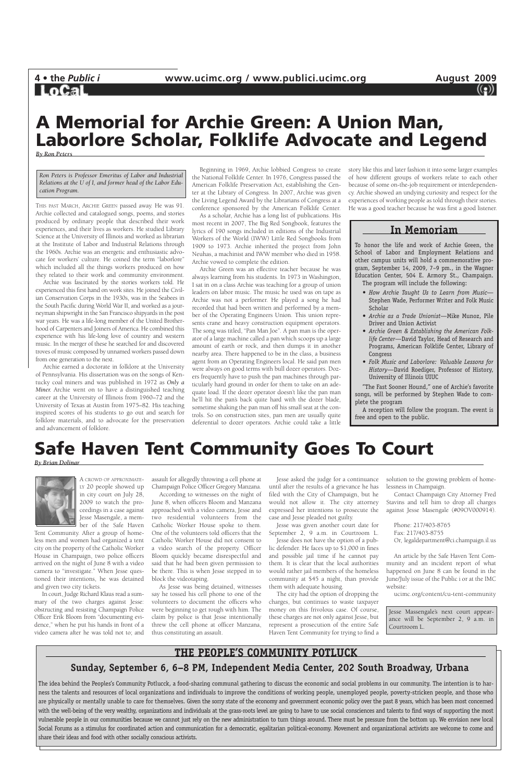

### **Safe Haven Tent Community Goes To Court**

### *By Brian Dolinar*



A CROWD OF APPROXIMATE-LY 20 people showed up in city court on July 28, 2009 to watch the proceedings in a case against Jesse Masengale, a member of the Safe Haven

Tent Community. After a group of homeless men and women had organized a tent city on the property of the Catholic Worker House in Champaign, two police officers arrived on the night of June 8 with a video camera to "investigate." When Jesse ques-

tioned their intentions, he was detained and given two city tickets.

In court, Judge Richard Klaus read a summary of the two charges against Jesse: obstructing and resisting Champaign Police Officer Erik Bloom from "documenting evidence," when he put his hands in front of a video camera after he was told not to; and assault for allegedly throwing a cell phone at Champaign Police Officer Gregory Manzana.

According to witnesses on the night of June 8, when officers Bloom and Manzana approached with a video camera, Jesse and two residential volunteers from the Catholic Worker House spoke to them. One of the volunteers told officers that the Catholic Worker House did not consent to a video search of the property. Officer Bloom quickly became disrespectful and said that he had been given permission to be there. This is when Jesse stepped in to

block the videotaping.

As Jesse was being detained, witnesses say he tossed his cell phone to one of the volunteers to document the officers who were beginning to get rough with him. The claim by police is that Jesse intentionally threw the cell phone at officer Manzana, thus constituting an assault.

Jesse asked the judge for a continuance until after the results of a grievance he has filed with the City of Champaign, but he would not allow it. The city attorney expressed her intentions to prosecute the case and Jesse pleaded not guilty.

Jesse was given another court date for September 2, 9 a.m. in Courtroom L.

Jesse does not have the option of a public defender. He faces up to \$1,000 in fines and possible jail time if he cannot pay them. It is clear that the local authorities would rather jail members of the homeless community at \$45 a night, than provide them with adequate housing. The city had the option of dropping the charges, but continues to waste taxpayer money on this frivolous case. Of course, these charges are not only against Jesse, but represent a prosecution of the entire Safe Haven Tent Community for trying to find a

solution to the growing problem of homelessness in Champaign.

Contact Champaign City Attorney Fred Stavins and tell him to drop all charges against Jesse Masengale (#09OV000914).

Phone: 217/403-8765 Fax: 217/403-8755 Or, legaldepartment@ci.champaign.il.us

An article by the Safe Haven Tent Community and an incident report of what happened on June 8 can be found in the

June/July issue of the Public i or at the IMC website:

ucimc.org/content/cu-tent-community

### **A Memorial for Archie Green: A Union Man, Laborlore Scholar, Folklife Advocate and Legend**

*By Ron Peters*

THIS PAST MARCH, ARCHIE GREEN passed away. He was 91. Archie collected and catalogued songs, poems, and stories produced by ordinary people that described their work experiences, and their lives as workers. He studied Library Science at the University of Illinois and worked as librarian at the Institute of Labor and Industrial Relations through the 1960s. Archie was an energetic and enthusiastic advocate for workers' culture. He coined the term "laborlore" which included all the things workers produced on how they related to their work and community environment.

Archie was fascinated by the stories workers told. He experienced this first hand on work sites. He joined the Civilian Conservation Corps in the 1930s, was in the Seabees in the South Pacific during World War II, and worked as a journeyman shipwright in the San Francisco shipyards in the post war years. He was a life-long member of the United Brotherhood of Carpenters and Joiners of America. He combined this experience with his life-long love of country and western music. In the merger of these he searched for and discovered troves of music composed by unnamed workers passed down from one generation to the next.

Archie earned a doctorate in folklore at the University of Pennsylvania. His dissertation was on the songs of Kentucky coal miners and was published in 1972 as *Only a Miner.* Archie went on to have a distinguished teaching career at the University of Illinois from 1960–72 and the University of Texas at Austin from 1975–82. His teaching inspired scores of his students to go out and search for folklore materials, and to advocate for the preservation and advancement of folklore.

Beginning in 1969, Archie lobbied Congress to create the National Folklife Center. In 1976, Congress passed the American Folklife Preservation Act, establishing the Center at the Library of Congress. In 2007, Archie was given the Living Legend Award by the Librarians of Congress at a conference sponsored by the American Folklife Center.

As a scholar, Archie has a long list of publications. His most recent in 2007, The Big Red Songbook, features the lyrics of 190 songs included in editions of the Industrial Workers of the World (IWW) Little Red Songbooks from 1909 to 1973. Archie inherited the project from John Neuhas, a machinist and IWW member who died in 1958. Archie vowed to complete the edition.

Archie Green was an effective teacher because he was always learning from his students. In 1973 in Washington, I sat in on a class Archie was teaching for a group of union leaders on labor music. The music he used was on tape as Archie was not a performer. He played a song he had recorded that had been written and performed by a member of the Operating Engineers Union. This union represents crane and heavy construction equipment operators. The song was titled, "Pan Man Joe". A pan man is the operator of a large machine called a pan which scoops up a large amount of earth or rock, and then dumps it in another nearby area. There happened to be in the class, a business agent from an Operating Engineers local. He said pan men were always on good terms with bull dozer operators. Dozers frequently have to push the pan machines through particularly hard ground in order for them to take on an adequate load. If the dozer operator doesn't like the pan man he'll hit the pan's back quite hard with the dozer blade, sometime shaking the pan man off his small seat at the controls. So on construction sites, pan men are usually quite deferential to dozer operators. Archie could take a little

story like this and later fashion it into some larger examples of how different groups of workers relate to each other because of some on-the-job requirement or interdependency. Archie showed an undying curiosity and respect for the experiences of working people as told through their stories. He was a good teacher because he was first a good listener.

> Jesse Massengale's next court appearance will be September 2, 9 a.m. in Courtroom L.

*Ron Peters is Professor Emeritus of Labor and Industrial Relations at the U of I, and former head of the Labor Education Program.*

### **THE PEOPLE'S COMMUNITY POTLUCK**

### **Sunday, September 6, 6–8 PM, Independent Media Center, 202 South Broadway, Urbana**

The idea behind the Peoples's Community Potlucck, a food-sharing communal gathering to discuss the economic and social problems in our community. The intention is to harness the talents and resources of local organizations and individuals to improve the conditions of working people, unemployed people, poverty-stricken people, and those who are physically or mentally unable to care for themselves. Given the sorry state of the economy and government economic policy over the past 8 years, which has been most concerned with the well-being of the very wealthy, organizations and individuals at the grass-roots level are going to have to use social consciences and talents to find ways of supporting the most vulnerable people in our communities because we cannot just rely on the new administration to turn things around. There must be pressure from the bottom up. We envision new local Social Forums as a stimulus for coordinated action and communication for a democratic, egalitarian political-economy. Movement and organizational activists are welcome to come and share their ideas and food with other socially conscious activists.

### **In Memoriam**

To honor the life and work of Archie Green, the School of Labor and Employment Relations and other campus units will hold a commemorative program, September 14, 2009, 7–9 pm., in the Wagner Education Center, 504 E. Armory St., Champaign.

The program will include the following:

- *How Archie Taught Us to Learn from Music—* Stephen Wade, Performer Writer and Folk Music Scholar
- *• Archie as a Trade Unionist—*Mike Munoz, Pile Driver and Union Activist
- *• Archie Green & Establishing the American Folklife Center—*David Taylor, Head of Research and Programs, American Folklife Center, Library of Congress
- *• Folk Music and Laborlore: Valuable Lessons for History—*David Roediger, Professor of History, University of Illinois UIUC

"The Fast Sooner Hound," one of Archie's favorite songs, will be performed by Stephen Wade to complete the program

A reception will follow the program. The event is free and open to the public.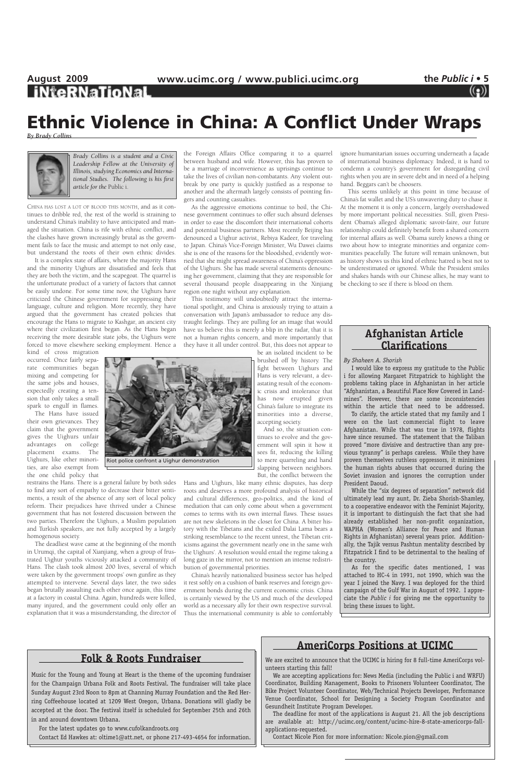# August 2009 **www.ucimc.org** / www.publici.ucimc.org the *Public i* • 5<br> **iNteRNaTioNaL** ((2)

CHINA HAS LOST A LOT OF BLOOD THIS MONTH, and as it continues to dribble red, the rest of the world is straining to understand China's inability to have anticipated and managed the situation. China is rife with ethnic conflict, and the clashes have grown increasingly brutal as the government fails to face the music and attempt to not only ease, but understand the roots of their own ethnic divides.

It is a complex state of affairs, where the majority Hans and the minority Uighurs are dissatisfied and feels that they are both the victim, and the scapegoat. The quarrel is the unfortunate product of a variety of factors that cannot be easily undone. For some time now, the Uighurs have criticized the Chinese government for suppressing their language, culture and religion. More recently, they have argued that the government has created policies that encourage the Hans to migrate to Kashgar, an ancient city where their civilization first began. As the Hans began receiving the more desirable state jobs, the Uighurs were forced to move elsewhere seeking employment. Hence a

kind of cross migration occurred. Once fairly separate communities began mixing and competing for the same jobs and houses, expectedly creating a tension that only takes a small spark to engulf in flames.

The Hans have issued their own grievances. They claim that the government gives the Uighurs unfair advantages on college placement exams. The Uighurs, like other minorities, are also exempt from the one child policy that

restrains the Hans. There is a general failure by both sides to find any sort of empathy to decrease their bitter sentiments, a result of the absence of any sort of local policy reform. Their prejudices have thrived under a Chinese government that has not fostered discussion between the two parties. Therefore the Uighurs, a Muslim population and Turkish speakers, are not fully accepted by a largely homogenous society.

The deadliest wave came at the beginning of the month in Urumqi, the capital of Xianjiang, when a group of frustrated Uighur youths viciously attacked a community of Hans. The clash took almost 200 lives, several of which were taken by the government troops' own gunfire as they attempted to intervene. Several days later, the two sides began brutally assaulting each other once again, this time at a factory in coastal China. Again, hundreds were killed, many injured, and the government could only offer an explanation that it was a misunderstanding, the director of the Foreign Affairs Office comparing it to a quarrel between husband and wife. However, this has proven to be a marriage of inconvenience as uprisings continue to take the lives of civilian non-combatants. Any violent outbreak by one party is quickly justified as a response to another and the aftermath largely consists of pointing fingers and counting casualties.

As the aggressive emotions continue to boil, the Chinese government continues to offer such absurd defenses in order to ease the discomfort their international cohorts and potential business partners. Most recently Beijing has denounced a Uighur activist, Rebiya Kadeer, for traveling to Japan. China's Vice-Foreign Minister, Wu Dawei claims she is one of the reasons for the bloodshed, evidently worried that she might spread awareness of China's oppression of the Uighurs. She has made several statements denouncing her government, claiming that they are responsible for several thousand people disappearing in the Xinjiang region one night without any explanation.

This testimony will undoubtedly attract the international spotlight, and China is anxiously trying to attain a conversation with Japan's ambassador to reduce any distraught feelings. They are pulling for an image that would have us believe this is merely a blip in the radar, that it is not a human rights concern, and more importantly that they have it all under control. But, this does not appear to

be an isolated incident to be brushed off by history. The fight between Uighurs and Hans is very relevant, a devastating result of the economic crisis and intolerance that has now erupted given China's failure to integrate its minorities into a diverse, accepting society.

And so, the situation continues to evolve and the government will spin it how it sees fit, reducing the killing to mere quarreling and hand slapping between neighbors. But, the conflict between the

Hans and Uighurs, like many ethnic disputes, has deep roots and deserves a more profound analysis of historical and cultural differences, geo-politics, and the kind of mediation that can only come about when a government comes to terms with its own internal flaws. These issues are not new skeletons in the closet for China. A bitter history with the Tibetans and the exiled Dalai Lama bears a striking resemblance to the recent unrest, the Tibetan criticisms against the government nearly one in the same with the Uighurs'. A resolution would entail the regime taking a long gaze in the mirror, not to mention an intense redistribution of governmental priorities.

China's heavily nationalized business sector has helped it rest softly on a cushion of bank reserves and foreign government bonds during the current economic crisis. China is certainly viewed by the US and much of the developed world as a necessary ally for their own respective survival. Thus the international community is able to comfortably

ignore humanitarian issues occurring underneath a façade of international business diplomacy. Indeed, it is hard to condemn a country's government for disregarding civil rights when you are in severe debt and in need of a helping hand. Beggars can't be choosers.

This seems unlikely at this point in time because of China's fat wallet and the US's unwavering duty to chase it. At the moment it is only a concern, largely overshadowed by more important political necessities. Still, given President Obama's alleged diplomatic savoir-faire, our future relationship could definitely benefit from a shared concern for internal affairs as well. Obama surely knows a thing or two about how to integrate minorities and organize communities peacefully. The future will remain unknown, but as history shows us this kind of ethnic hatred is best not to be underestimated or ignored. While the President smiles and shakes hands with our Chinese allies, he may want to be checking to see if there is blood on them.

## **Ethnic Violence in China: A Conflict Under Wraps**

*By Brady Collins*



*Brady Collins is a student and a Civic Leadership Fellow at the University of Illinois, studying Economics and International Studies. The following is his first article for the* Public i.

### **Folk & Roots Fundraiser**

Music for the Young and Young at Heart is the theme of the upcoming fundraiser for the Champaign Urbana Folk and Roots Festival. The fundraiser will take place Sunday August 23rd Noon to 8pm at Channing Murray Foundation and the Red Herring Coffeehouse located at 1209 West Oregon, Urbana. Donations will gladly be accepted at the door. The festival itself is scheduled for September 25th and 26th in and around downtown Urbana.

For the latest updates go to www.cufolkandroots.org

Contact Ed Hawkes at: oltime1@att.net, or phone 217-493-4654 for information.

### **AmeriCorps Positions at UCIMC**

We are excited to announce that the UCIMC is hiring for 8 full-time AmeriCorps volunteers starting this fall!

We are accepting applications for: News Media (including the Public i and WRFU) Coordinator, Building Management, Books to Prisoners Volunteer Coordinator, The Bike Project Volunteer Coordinator, Web/Technical Projects Developer, Performance Venue Coordinator, School for Designing a Society Program Coordinator and Gesundheit Institute Program Developer.

The deadline for most of the applications is August 21. All the job descriptions are available at: http://ucimc.org/content/ucimc-hire-8-state-americorps-fallapplications-requested.

Contact Nicole Pion for more information: Nicole.pion@gmail.com

### **Afghanistan Article Clarifications**

*By Shaheen A. Shorish*

I would like to express my gratitude to the Public i for allowing Margaret Fitzpatrick to highlight the problems taking place in Afghanistan in her article "Afghanistan, a Beautiful Place Now Covered in Landmines". However, there are some inconsistencies within the article that need to be addressed.

To clarify, the article stated that my family and I were on the last commercial flight to leave Afghanistan. While that was true in 1978, flights have since resumed. The statement that the Taliban proved "more divisive and destructive than any previous tyranny" is perhaps careless. While they have proven themselves ruthless oppressors, it minimizes the human rights abuses that occurred during the Soviet invasion and ignores the corruption under President Daoud.

While the "six degrees of separation" network did ultimately lead my aunt, Dr. Zieba Shorish-Shamley, to a cooperative endeavor with the Feminist Majority, it is important to distinguish the fact that she had already established her non-profit organization, WAPHA (Women's Alliance for Peace and Human Rights in Afghanistan) several years prior. Additionally, the Tajik versus Pashtun mentality described by Fitzpatrick I find to be detrimental to the healing of the country.

As for the specific dates mentioned, I was attached to HC-4 in 1991, not 1990, which was the year I joined the Navy. I was deployed for the third campaign of the Gulf War in August of 1992. I appreciate the *Public i* for giving me the opportunity to bring these issues to light.

Riot police confront a Uighur demonstration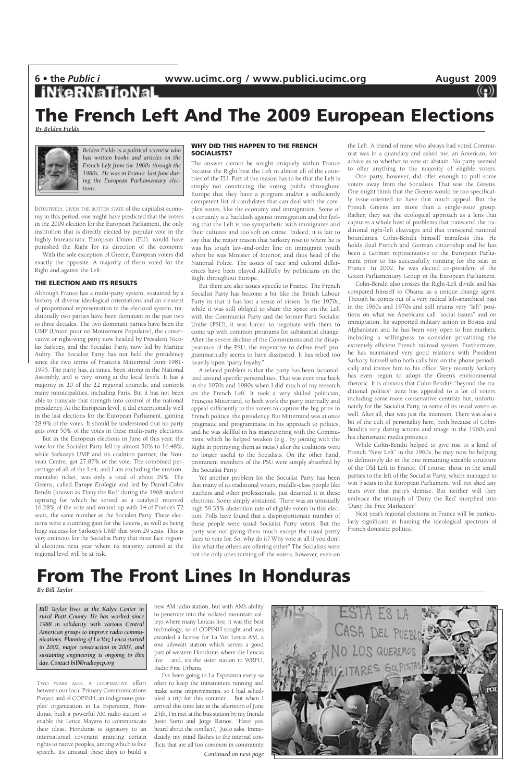### **The French Left And The 2009 European Elections**

*By Belden Fields*



INTUITIVELY, GIVEN THE ROTTEN STATE of the capitalist economy in this period, one might have predicted that the voters in the 2009 election for the European Parliament, the only institution that is directly elected by popular vote in the highly bureaucratic European Union (EU), would have punished the Right for its direction of the economy.

With the sole exception of Greece, European voters did exactly the opposite. A majority of them voted for the Right and against the Left.

#### **THE ELECTION AND ITS RESULTS**

Although France has a multi-party system, sustained by a history of diverse ideological orientations and an element of proportional representation in the electoral system, traditionally two parties have been dominant in the past two to three decades. The two dominant parties have been the UMP (Union pour un Mouvement Populaire), the conservative or right-wing party now headed by President Nicolas Sarkozy, and the Socialist Party, now led by Martine Aubry. The Socialist Party has not held the presidency since the two terms of Francois Mitterrand from 1981- 1995. The party has, at times, been strong in the National Assembly, and is very strong at the local levels. It has a majority in 20 of the 22 regional councils, and controls many municipalities, including Paris. But it has not been able to translate that strength into control of the national presidency. At the European level, it did exceptionally well in the last elections for the European Parliament, gaining 28.9% of the votes. It should be understood that no party gets over 50% of the votes in these multi-party elections.

But in the European elections in June of this year, the vote for the Socialist Party fell by almost 50% to 16.48%, while Sarkozy's UMP and it's coalition partner, the Nouveau Centre, got 27.87% of the vote. The combined percentage of all of the Left, and I am excluding the environmentalist ticket, was only a total of about 29%. The Greens, called *Europe Ecologie* and led by Daniel-Cohn Bendit (known as 'Dany the Red' during the 1968 student uprising for which he served as a catalyst) received 16.28% of the vote and wound up with 14 of France's 72 seats, the same number as the Socialist Party. These elections were a stunning gain for the Greens, as well as being huge success for Sarkozy's UMP that won 29 seats. This is very ominous for the Socialist Party that must face regional elections next year where its majority control at the regional level will be at risk.

#### **WHY DID THIS HAPPEN TO THE FRENCH SOCIALISTS?**

The answer cannot be sought uniquely within France because the Right beat the Left in almost all of the countries of the EU. Part of the reason has to be that the Left is simply not convincing the voting public throughout Europe that they have a program and/or a sufficiently competent list of candidates that can deal with the complex issues, like the economy and immigration. Some of it certainly is a backlash against immigration and the feeling that the Left is too sympathetic with immigrants and their cultures and too soft on crime. Indeed, it is fair to say that the major reason that Sarkozy rose to where he is was his tough law-and-order line on immigrant youth when he was Minister of Interior, and thus head of the National Police. The issues of race and cultural differences have been played skillfully by politicians on the Right throughout Europe.

But there are also issues specific to France. The French Socialist Party has become a bit like the British Labour Party in that it has lost a sense of vision. In the 1970s, while it was still obliged to share the space on the Left with the Communist Party and the former Parti Socialist Unifie (PSU), it was forced to negotiate with them to come up with common programs for substantial change. After the severe decline of the Communists and the disappearance of the PSU, the imperative to define itself programmatically seems to have dissipated. It has relied too heavily upon "party loyalty."

A related problem is that the party has been factionalized around specific personalities. That was even true back in the 1970s and 1980s when I did much of my research on the French Left. It took a very skilled politician, François Mitterrand, to both work the party internally and appeal sufficiently to the voters to capture the big prize in French politics, the presidency. But Mitterrand was at once pragmatic and programmatic in his approach to politics, and he was skillful in his maneuvering with the Communists, which he helped weaken (e.g., by joining with the Right in portraying them as racist) after the coalitions were no longer useful to the Socialists. On the other hand, prominent members of the PSU were simply absorbed by the Socialist Party.

Yet another problem for the Socialist Party has been that many of its traditional voters, middle-class people like teachers and other professionals, just deserted it in these elections. Some simply abstained. There was an unusually high 59.35% abstention rate of eligible voters in this election. Polls have found that a disproportionate number of these people were usual Socialist Party voters. But the party was not giving them much except the usual pretty faces to vote for. So, why do it? Why vote at all if you don't like what the others are offering either? The Socialists were not the only ones turning off the voters, however, even on

the Left. A friend of mine who always had voted Communist was in a quandary and asked me, an American, for advice as to whether to vote or abstain. No party seemed to offer anything to the majority of eligible voters.

One party, however, did offer enough to pull some voters away from the Socialists. That was the Greens. One might think that the Greens would be too specifically issue-oriented to have that much appeal. But the French Greens are more than a single-issue group. Rather, they see the ecological approach as a lens that captures a whole host of problems that transcend the traditional right-left cleavages and that transcend national boundaries. Cohn-Bendit himself manifests this. He holds dual French and German citizenship and he has been a German representative to the European Parliament prior to his successfully running for the seat in France. In 2002, he was elected co-president of the Green Parliamentary Group in the European Parliament.

Cohn-Bendit also crosses the Right-Left divide and has compared himself to Obama as a unique change agent. Though he comes out of a very radical left-anarchical past in the 1960s and 1970s and still retains very "left" positions on what we Americans call "social issues" and on immigration, he supported military action in Bosnia and Afghanistan and he has been very open to free markets, including a willingness to consider privatizing the extremely efficient French railroad system. Furthermore, he has maintained very good relations with President Sarkozy himself who both calls him on the phone periodically and invites him to his office. Very recently Sarkozy has even begun to adopt the Green's environmental rhetoric. It is obvious that Cohn-Bendit's "beyond the traditional politics" aura has appealed to a lot of voters, including some more conservative centrists but, unfortunately for the Socialist Party, to some of its usual voters as well. After all, that was just the intention. There was also a bit of the cult of personality here, both because of Cohn-Bendit's very daring actions and image in the 1960s and his charismatic media presence.

While Cohn-Bendit helped to give rise to a kind of French "New Left" in the 1960s, he may now be helping to definitively do in the one remaining sizeable structure of the Old Left in France. Of course, those in the small parties to the left of the Socialist Party, which managed to win 5 seats in the European Parliament, will not shed any tears over that party's demise. But neither will they embrace the triumph of 'Dany the Red' morphed into 'Dany the Free Marketeer.'

Next year's regional elections in France will be particularly significant in framing the ideological spectrum of French domestic politics.

### **The Front Lines In Honduras**

*Belden Fields is a political scientist who has written books and articles on the French Left from the 1960s through the 1980s. He was in France last June during the European Parliamentary elections.*

*By Bill Taylor*

TWO YEARS AGO, A COOPERATIVE effort between our local Primary Communications Project and el COPINH, an indigenous peoples' organization in La Esperanza, Honduras, built a powerful AM radio station to enable the Lenca Mayans to communicate their ideas. Honduras is signatory to an international covenant granting certain rights to native peoples, among which is free speech. It's unusual these days to build a

new AM radio station, but with AM's ability to penetrate into the isolated mountain valleys where many Lencas live, it was the best technology; so el COPINH sought and was awarded a license for La Voz Lenca AM, a one kilowatt station which serves a good part of western Honduras where the Lencas live… and, it's the sister station to WRFU, Radio Free Urbana.

I've been going to La Esperanza every so often to keep the transmitters running and make some improvements, so I had scheduled a trip for this summer… But when I arrived this time late in the afternoon of June 25th, I'm met at the bus station by my friends Justo Sorto and Jorge Ramos. "Have you heard about the conflict?," Justo asks. Immediately, my mind flashes to the internal conflicts that are all too common in community *Continued on next page*



*Bill Taylor lives at the Kalyx Center in rural Piatt County. He has worked since 1988 in solidarity with various Central American groups to improve radio communications. Planning of La Voz Lenca started in 2002, major construction in 2007, and sustaining engineering is ongoing to this day. Contact bill@radiopcp.org*